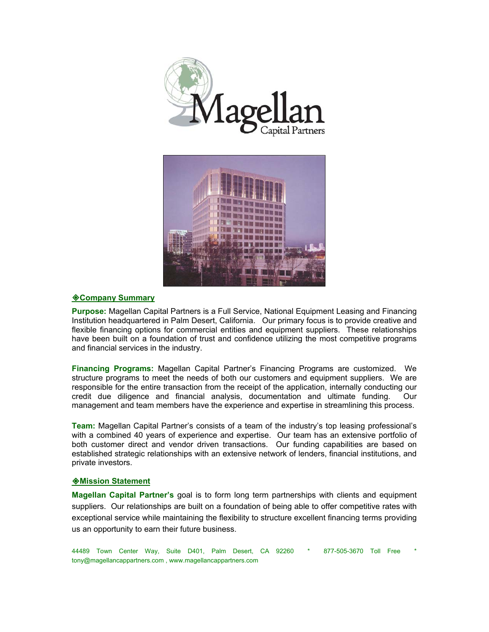



### **Company Summary**

**Purpose:** Magellan Capital Partners is a Full Service, National Equipment Leasing and Financing Institution headquartered in Palm Desert, California. Our primary focus is to provide creative and flexible financing options for commercial entities and equipment suppliers. These relationships have been built on a foundation of trust and confidence utilizing the most competitive programs and financial services in the industry.

**Financing Programs:** Magellan Capital Partner's Financing Programs are customized. We structure programs to meet the needs of both our customers and equipment suppliers. We are responsible for the entire transaction from the receipt of the application, internally conducting our credit due diligence and financial analysis, documentation and ultimate funding. Our management and team members have the experience and expertise in streamlining this process.

**Team:** Magellan Capital Partner's consists of a team of the industry's top leasing professional's with a combined 40 years of experience and expertise. Our team has an extensive portfolio of both customer direct and vendor driven transactions. Our funding capabilities are based on established strategic relationships with an extensive network of lenders, financial institutions, and private investors.

#### **Mission Statement**

**Magellan Capital Partner's** goal is to form long term partnerships with clients and equipment suppliers. Our relationships are built on a foundation of being able to offer competitive rates with exceptional service while maintaining the flexibility to structure excellent financing terms providing us an opportunity to earn their future business.

44489 Town Center Way, Suite D401, Palm Desert, CA 92260 \* 877-505-3670 Toll Free \* tony@magellancappartners.com , www.magellancappartners.com